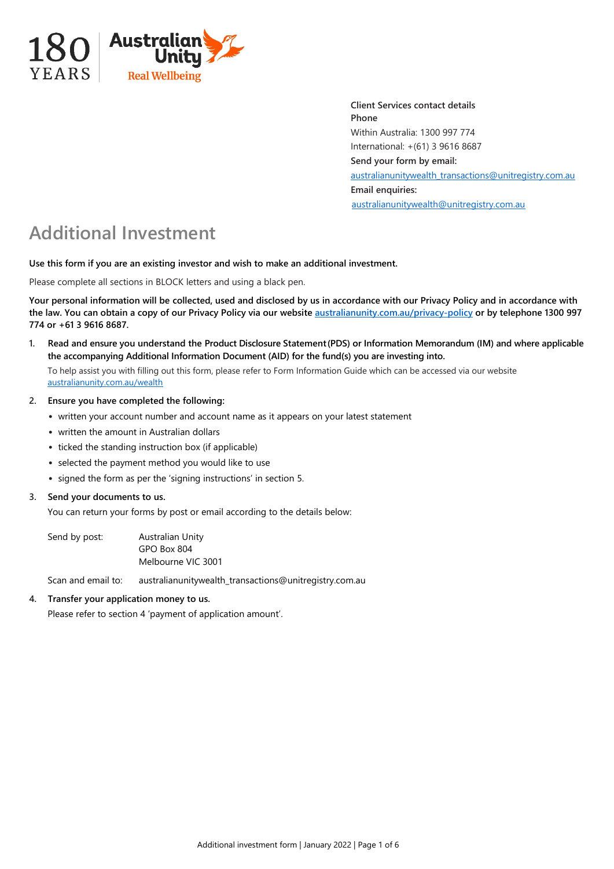

**Client Services contact details Phone** Within Australia: 1300 997 774 International: +(61) 3 9616 8687 **Send your form by email:**  [australianunitywealth\\_transactions@unitregistry.com.au](mailto:australianunitywealth_transactions@unitregistry.com.au) **Email enquiries:** [australianunitywealth@unitregistry.com.au](mailto:australianunitywealth@unitregistry.com.au)

# **Additional Investment**

**Use this form if you are an existing investor and wish to make an additional investment.**

Please complete all sections in BLOCK letters and using a black pen.

**Your personal information will be collected, used and disclosed by us in accordance with our Privacy Policy and in accordance with the law. You can obtain a copy of our Privacy Policy via our websit[e australianunity.com.au/privacy-policy](https://www.australianunity.com.au/privacy-policy) or by telephone 1300 997 774 or +61 3 9616 8687.**

**1. Read and ensure you understand the Product Disclosure Statement(PDS) or Information Memorandum (IM) and where applicable the accompanying Additional Information Document (AID) for the fund(s) you are investing into.**

To help assist you with filling out this form, please refer to Form Information Guide which can be accessed via our website [australianunity.com.au/wealth](https://www.australianunity.com.au/wealth)

- **2. Ensure you have completed the following:**
	- written your account number and account name as it appears on your latest statement
	- written the amount in Australian dollars
	- ticked the standing instruction box (if applicable)
	- selected the payment method you would like to use
	- signed the form as per the 'signing instructions' in section 5.

## **3. Send your documents to us.**

You can return your forms by post or email according to the details below:

Send by post: Australian Unity GPO Box 804 Melbourne VIC 3001

Scan and email to: australianunitywealth\_transactions@unitregistry.com.au

## **4. Transfer your application money to us.**

Please refer to section 4 'payment of application amount'.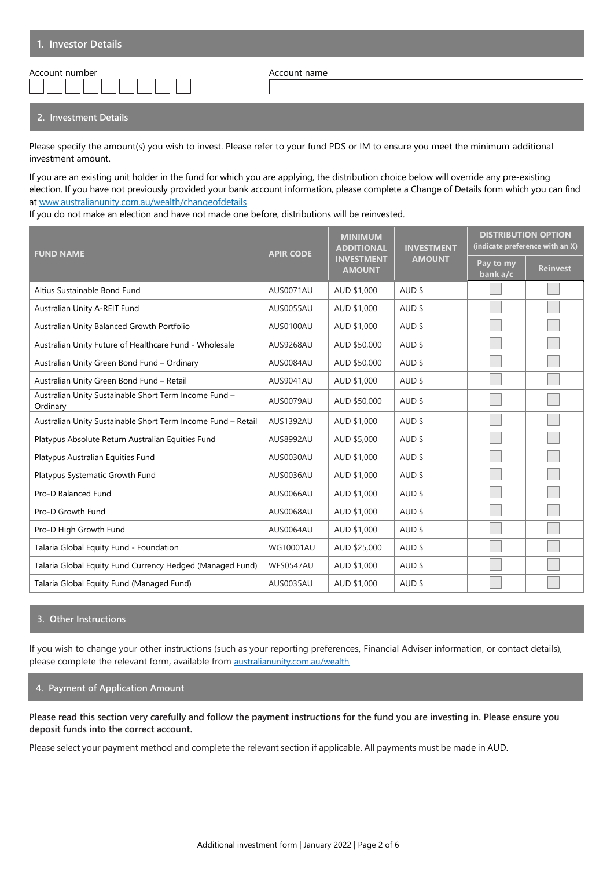| Account number |  |
|----------------|--|
|                |  |

Account name

### **2. Investment Details**

Please specify the amount(s) you wish to invest. Please refer to your fund PDS or IM to ensure you meet the minimum additional investment amount.

If you are an existing unit holder in the fund for which you are applying, the distribution choice below will override any pre-existing election. If you have not previously provided your bank account information, please complete a Change of Details form which you can find at www.australianunity.com.au/wealth/changeofdetails

If you do not make an election and have not made one before, distributions will be reinvested.

| <b>FUND NAME</b>                                                  | <b>APIR CODE</b>                   | <b>MINIMUM</b><br><b>ADDITIONAL</b> | <b>INVESTMENT</b> | <b>DISTRIBUTION OPTION</b><br>(indicate preference with an X) |                 |
|-------------------------------------------------------------------|------------------------------------|-------------------------------------|-------------------|---------------------------------------------------------------|-----------------|
|                                                                   | <b>INVESTMENT</b><br><b>AMOUNT</b> |                                     | <b>AMOUNT</b>     | Pay to my<br>bank a/c                                         | <b>Reinvest</b> |
| Altius Sustainable Bond Fund                                      | AUS0071AU                          | AUD \$1,000                         | AUD \$            |                                                               |                 |
| Australian Unity A-REIT Fund                                      | AUS0055AU                          | AUD \$1,000                         | AUD \$            |                                                               |                 |
| Australian Unity Balanced Growth Portfolio                        | AUS0100AU                          | AUD \$1,000                         | AUD \$            |                                                               |                 |
| Australian Unity Future of Healthcare Fund - Wholesale            | AUS9268AU                          | AUD \$50,000                        | AUD \$            |                                                               |                 |
| Australian Unity Green Bond Fund - Ordinary                       | AUS0084AU                          | AUD \$50,000                        | AUD \$            |                                                               |                 |
| Australian Unity Green Bond Fund - Retail                         | AUS9041AU                          | AUD \$1,000                         | AUD \$            |                                                               |                 |
| Australian Unity Sustainable Short Term Income Fund -<br>Ordinary | AUS0079AU                          | AUD \$50,000                        | AUD \$            |                                                               |                 |
| Australian Unity Sustainable Short Term Income Fund - Retail      | AUS1392AU                          | AUD \$1,000                         | AUD \$            |                                                               |                 |
| Platypus Absolute Return Australian Equities Fund                 | AUS8992AU                          | AUD \$5,000                         | AUD \$            |                                                               |                 |
| Platypus Australian Equities Fund                                 | AUS0030AU                          | AUD \$1,000                         | AUD \$            |                                                               |                 |
| Platypus Systematic Growth Fund                                   | AUS0036AU                          | AUD \$1,000                         | AUD \$            |                                                               |                 |
| Pro-D Balanced Fund                                               | <b>AUS0066AU</b>                   | AUD \$1,000                         | AUD \$            |                                                               |                 |
| Pro-D Growth Fund                                                 | <b>AUS0068AU</b>                   | AUD \$1,000                         | AUD \$            |                                                               |                 |
| Pro-D High Growth Fund                                            | AUS0064AU                          | AUD \$1,000                         | AUD \$            |                                                               |                 |
| Talaria Global Equity Fund - Foundation                           | <b>WGT0001AU</b>                   | AUD \$25,000                        | AUD \$            |                                                               |                 |
| Talaria Global Equity Fund Currency Hedged (Managed Fund)         | WFS0547AU                          | AUD \$1,000                         | AUD \$            |                                                               |                 |
| Talaria Global Equity Fund (Managed Fund)                         | AUS0035AU                          | AUD \$1,000                         | AUD \$            |                                                               |                 |

## **3. Other Instructions**

If you wish to change your other instructions (such as your reporting preferences, Financial Adviser information, or contact details), please complete the relevant form, available from [australianunity.com.au/wealth](https://www.australianunity.com.au/wealth)

## **4. Payment of Application Amount**

**Please read this section very carefully and follow the payment instructions for the fund you are investing in. Please ensure you deposit funds into the correct account.** 

Please select your payment method and complete the relevant section if applicable. All payments must be made in AUD.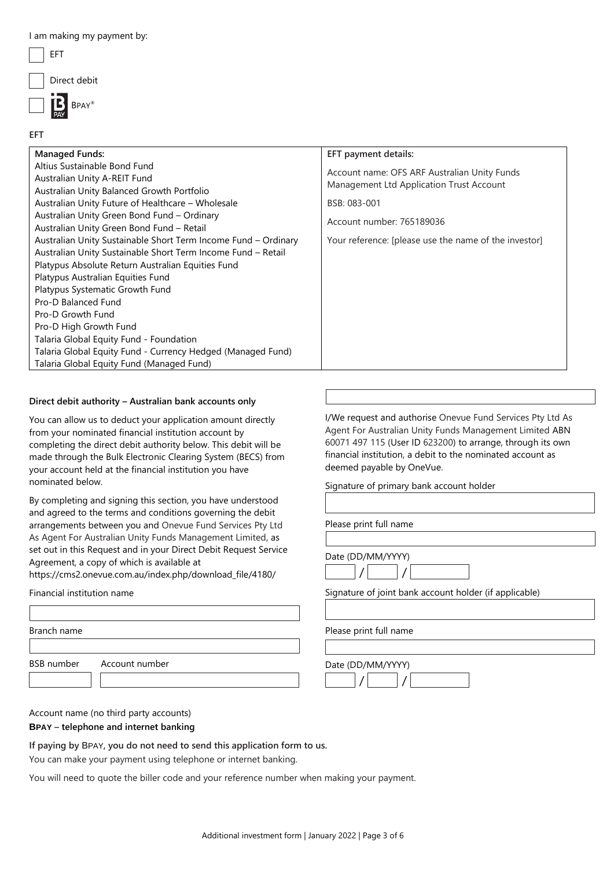| I am making my payment by: |  |
|----------------------------|--|
| EFT                        |  |
| Direct debit               |  |
| $\Box$ $\Box$ BPAY®        |  |
|                            |  |

| <b>Managed Funds:</b>                                                                                                                                                                                                                                                                                                                                                                                                                                                                                                                                                                                                                                                                                                                                   | EFT payment details:                                                                                                                                                                           |
|---------------------------------------------------------------------------------------------------------------------------------------------------------------------------------------------------------------------------------------------------------------------------------------------------------------------------------------------------------------------------------------------------------------------------------------------------------------------------------------------------------------------------------------------------------------------------------------------------------------------------------------------------------------------------------------------------------------------------------------------------------|------------------------------------------------------------------------------------------------------------------------------------------------------------------------------------------------|
| Altius Sustainable Bond Fund<br>Australian Unity A-REIT Fund<br>Australian Unity Balanced Growth Portfolio<br>Australian Unity Future of Healthcare - Wholesale<br>Australian Unity Green Bond Fund - Ordinary<br>Australian Unity Green Bond Fund - Retail<br>Australian Unity Sustainable Short Term Income Fund - Ordinary<br>Australian Unity Sustainable Short Term Income Fund - Retail<br>Platypus Absolute Return Australian Equities Fund<br>Platypus Australian Equities Fund<br>Platypus Systematic Growth Fund<br>Pro-D Balanced Fund<br>Pro-D Growth Fund<br>Pro-D High Growth Fund<br>Talaria Global Equity Fund - Foundation<br>Talaria Global Equity Fund - Currency Hedged (Managed Fund)<br>Talaria Global Equity Fund (Managed Fund) | Account name: OFS ARF Australian Unity Funds<br>Management Ltd Application Trust Account<br>BSB: 083-001<br>Account number: 765189036<br>Your reference: [please use the name of the investor] |

### **Direct debit authority – Australian bank accounts only**

You can allow us to deduct your application amount directly from your nominated financial institution account by completing the direct debit authority below. This debit will be made through the Bulk Electronic Clearing System (BECS) from your account held at the financial institution you have nominated below.

By completing and signing this section, you have understood and agreed to the terms and conditions governing the debit arrangements between you and Onevue Fund Services Pty Ltd As Agent For Australian Unity Funds Management Limited, as set out in this Request and in your Direct Debit Request Service Agreement, a copy of which is [available at](http://www.onevue.com.au/) 

[https://cms2.onevue.com.au/index.php/download\\_file/4180/](http://www.onevue.com.au/)

### Financial institution name

Branch name

BSB number Account number

Agent For Australian Unity Funds Management Limited ABN 60071 497 115 (User ID 623200) to arrange, through its own financial institution, a debit to the nominated account as deemed payable by OneVue.

I/We request and authorise Onevue Fund Services Pty Ltd As

Signature of primary bank account holder

Please print full name

| Date (DD/MM/YYYY) |  |  |  |  |  |
|-------------------|--|--|--|--|--|
|                   |  |  |  |  |  |

Signature of joint bank account holder (if applicable)

Please print full name

Date (DD/MM/YYYY)

 $/$  /

Account name (no third party accounts)

**BPAY – telephone and internet banking**

**If paying by** BPAY**, you do not need to send this application form to us.**

You can make your payment using telephone or internet banking.

You will need to quote the biller code and your reference number when making your payment.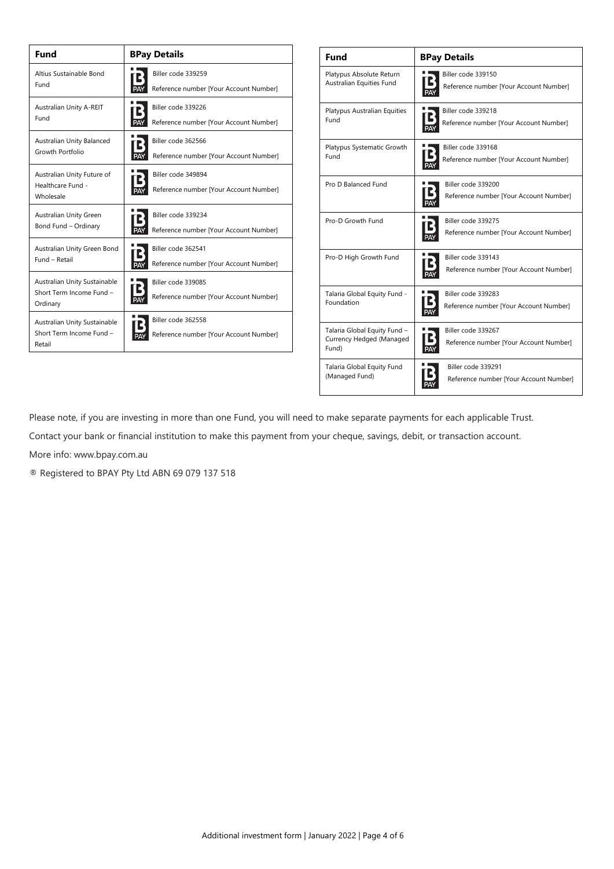| Fund                                                                 | <b>BPay Details</b>                                          |  |  |  |
|----------------------------------------------------------------------|--------------------------------------------------------------|--|--|--|
| Altius Sustainable Bond                                              | Biller code 339259                                           |  |  |  |
| Fund                                                                 | Reference number [Your Account Number]                       |  |  |  |
| Australian Unity A-REIT                                              | Biller code 339226                                           |  |  |  |
| Fund                                                                 | Reference number [Your Account Number]                       |  |  |  |
| Australian Unity Balanced                                            | Biller code 362566                                           |  |  |  |
| Growth Portfolio                                                     | Reference number [Your Account Number]                       |  |  |  |
| Australian Unity Future of<br>Healthcare Fund -<br>Wholesale         | Biller code 349894<br>Reference number [Your Account Number] |  |  |  |
| Australian Unity Green                                               | Biller code 339234                                           |  |  |  |
| Bond Fund - Ordinary                                                 | Reference number [Your Account Number]                       |  |  |  |
| Australian Unity Green Bond                                          | Biller code 362541                                           |  |  |  |
| Fund - Retail                                                        | Reference number [Your Account Number]                       |  |  |  |
| Australian Unity Sustainable<br>Short Term Income Fund -<br>Ordinary | Biller code 339085<br>Reference number [Your Account Number] |  |  |  |
| Australian Unity Sustainable<br>Short Term Income Fund -<br>Retail   | Biller code 362558<br>Reference number [Your Account Number] |  |  |  |

| <b>Fund</b>                                                       | <b>BPay Details</b>                                          |
|-------------------------------------------------------------------|--------------------------------------------------------------|
| Platypus Absolute Return                                          | Biller code 339150                                           |
| Australian Equities Fund                                          | Reference number [Your Account Number]                       |
| Platypus Australian Equities                                      | Biller code 339218                                           |
| Fund                                                              | Reference number [Your Account Number]                       |
| Platypus Systematic Growth                                        | Biller code 339168                                           |
| Fund                                                              | Reference number [Your Account Number]                       |
| Pro D Balanced Fund                                               | Biller code 339200<br>Reference number [Your Account Number] |
| Pro-D Growth Fund                                                 | Biller code 339275<br>Reference number [Your Account Number] |
| Pro-D High Growth Fund                                            | Biller code 339143<br>Reference number [Your Account Number] |
| Talaria Global Equity Fund -                                      | Biller code 339283                                           |
| Foundation                                                        | Reference number [Your Account Number]                       |
| Talaria Global Equity Fund -<br>Currency Hedged (Managed<br>Fund) | Biller code 339267<br>Reference number [Your Account Number] |
| Talaria Global Equity Fund                                        | Biller code 339291                                           |
| (Managed Fund)                                                    | Reference number [Your Account Number]                       |

Please note, if you are investing in more than one Fund, you will need to make separate payments for each applicable Trust.

Contact your bank or financial institution to make this payment from your cheque, savings, debit, or transaction account.

More info: www.bpay.com.au

® Registered to BPAY Pty Ltd ABN 69 079 137 518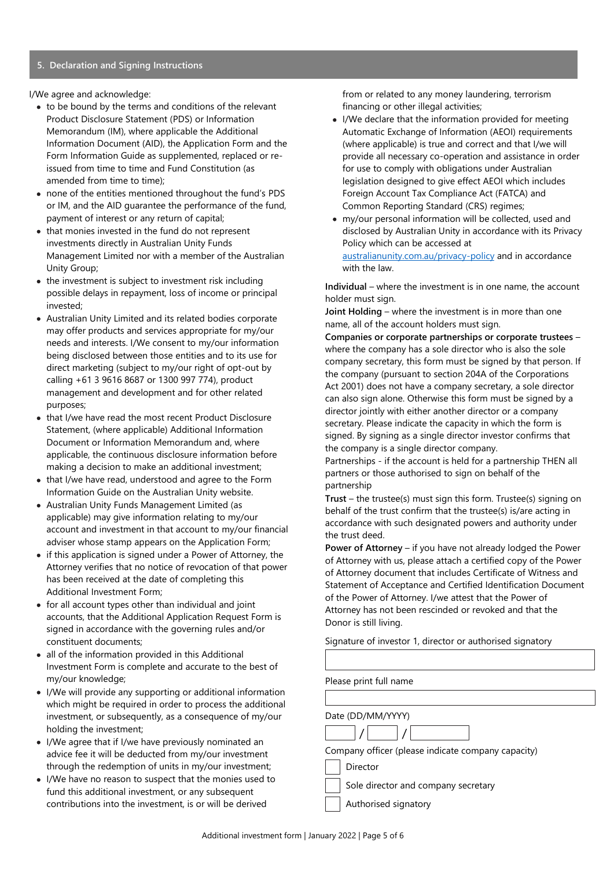#### **5. Declaration and Signing Instructions**

I/We agree and acknowledge:

- to be bound by the terms and conditions of the relevant Product Disclosure Statement (PDS) or Information Memorandum (IM), where applicable the Additional Information Document (AID), the Application Form and the Form Information Guide as supplemented, replaced or reissued from time to time and Fund Constitution (as amended from time to time);
- none of the entities mentioned throughout the fund's PDS or IM, and the AID guarantee the performance of the fund, payment of interest or any return of capital;
- that monies invested in the fund do not represent investments directly in Australian Unity Funds Management Limited nor with a member of the Australian Unity Group;
- the investment is subject to investment risk including possible delays in repayment, loss of income or principal invested;
- Australian Unity Limited and its related bodies corporate may offer products and services appropriate for my/our needs and interests. I/We consent to my/our information being disclosed between those entities and to its use for direct marketing (subject to my/our right of opt-out by calling +61 3 9616 8687 or 1300 997 774), product management and development and for other related purposes;
- that I/we have read the most recent Product Disclosure Statement, (where applicable) Additional Information Document or Information Memorandum and, where applicable, the continuous disclosure information before making a decision to make an additional investment;
- that I/we have read, understood and agree to the Form Information Guide on the Australian Unity website.
- Australian Unity Funds Management Limited (as applicable) may give information relating to my/our account and investment in that account to my/our financial adviser whose stamp appears on the Application Form;
- if this application is signed under a Power of Attorney, the Attorney verifies that no notice of revocation of that power has been received at the date of completing this Additional Investment Form;
- for all account types other than individual and joint accounts, that the Additional Application Request Form is signed in accordance with the governing rules and/or constituent documents;
- all of the information provided in this Additional Investment Form is complete and accurate to the best of my/our knowledge;
- I/We will provide any supporting or additional information which might be required in order to process the additional investment, or subsequently, as a consequence of my/our holding the investment;
- I/We agree that if I/we have previously nominated an advice fee it will be deducted from my/our investment through the redemption of units in my/our investment;
- I/We have no reason to suspect that the monies used to fund this additional investment, or any subsequent contributions into the investment, is or will be derived

from or related to any money laundering, terrorism financing or other illegal activities;

- I/We declare that the information provided for meeting Automatic Exchange of Information (AEOI) requirements (where applicable) is true and correct and that I/we will provide all necessary co-operation and assistance in order for use to comply with obligations under Australian legislation designed to give effect AEOI which includes Foreign Account Tax Compliance Act (FATCA) and Common Reporting Standard (CRS) regimes;
- my/our personal information will be collected, used and disclosed by Australian Unity in accordance with its Privacy Policy which can be accessed at [australianunity.com.au/privacy-policy](https://www.australianunity.com.au/privacy-policy) and in accordance with the law.

**Individual** – where the investment is in one name, the account holder must sign.

**Joint Holding** – where the investment is in more than one name, all of the account holders must sign.

**Companies or corporate partnerships or corporate trustees** – where the company has a sole director who is also the sole company secretary, this form must be signed by that person. If the company (pursuant to section 204A of the Corporations Act 2001) does not have a company secretary, a sole director can also sign alone. Otherwise this form must be signed by a director jointly with either another director or a company secretary. Please indicate the capacity in which the form is signed. By signing as a single director investor confirms that the company is a single director company.

Partnerships - if the account is held for a partnership THEN all partners or those authorised to sign on behalf of the partnership

**Trust** – the trustee(s) must sign this form. Trustee(s) signing on behalf of the trust confirm that the trustee(s) is/are acting in accordance with such designated powers and authority under the trust deed.

**Power of Attorney** – if you have not already lodged the Power of Attorney with us, please attach a certified copy of the Power of Attorney document that includes Certificate of Witness and Statement of Acceptance and Certified Identification Document of the Power of Attorney. I/we attest that the Power of Attorney has not been rescinded or revoked and that the Donor is still living.

Signature of investor 1, director or authorised signatory

Please print full name

Date (DD/MM/YYYY)  $/$  / Company officer (please indicate company capacity) Director Sole director and company secretary

Authorised signatory